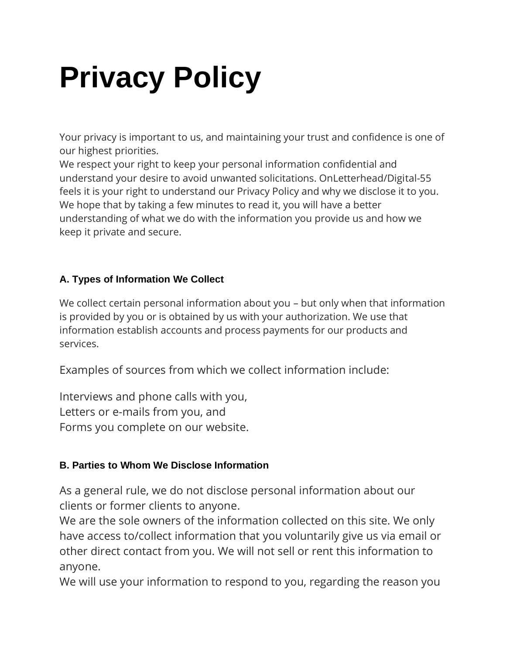## **Privacy Policy**

Your privacy is important to us, and maintaining your trust and confidence is one of our highest priorities.

We respect your right to keep your personal information confidential and understand your desire to avoid unwanted solicitations. OnLetterhead/Digital-55 feels it is your right to understand our Privacy Policy and why we disclose it to you. We hope that by taking a few minutes to read it, you will have a better understanding of what we do with the information you provide us and how we keep it private and secure.

## **A. Types of Information We Collect**

We collect certain personal information about you – but only when that information is provided by you or is obtained by us with your authorization. We use that information establish accounts and process payments for our products and services.

Examples of sources from which we collect information include:

Interviews and phone calls with you, Letters or e-mails from you, and Forms you complete on our website.

## **B. Parties to Whom We Disclose Information**

As a general rule, we do not disclose personal information about our clients or former clients to anyone.

We are the sole owners of the information collected on this site. We only have access to/collect information that you voluntarily give us via email or other direct contact from you. We will not sell or rent this information to anyone.

We will use your information to respond to you, regarding the reason you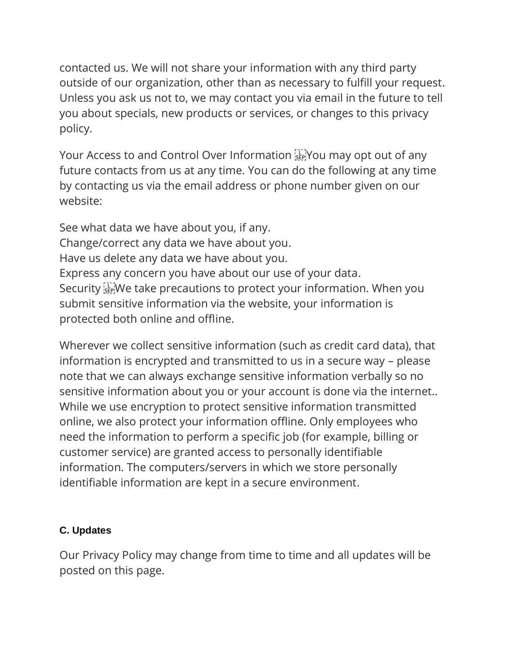contacted us. We will not share your information with any third party outside of our organization, other than as necessary to fulfill your request. Unless you ask us not to, we may contact you via email in the future to tell you about specials, new products or services, or changes to this privacy policy.

Your Access to and Control Over Information FR You may opt out of any future contacts from us at any time. You can do the following at any time by contacting us via the email address or phone number given on our website:

See what data we have about you, if any. Change/correct any data we have about you. Have us delete any data we have about you. Express any concern you have about our use of your data. Security **EX** We take precautions to protect your information. When you submit sensitive information via the website, your information is protected both online and offline.

Wherever we collect sensitive information (such as credit card data), that information is encrypted and transmitted to us in a secure way – please note that we can always exchange sensitive information verbally so no sensitive information about you or your account is done via the internet.. While we use encryption to protect sensitive information transmitted online, we also protect your information offline. Only employees who need the information to perform a specific job (for example, billing or customer service) are granted access to personally identifiable information. The computers/servers in which we store personally identifiable information are kept in a secure environment.

## **C. Updates**

Our Privacy Policy may change from time to time and all updates will be posted on this page.